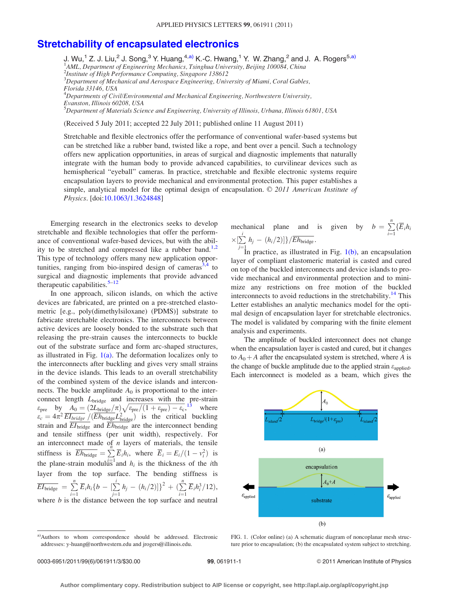## [Stretchability of encapsulated electronics](http://dx.doi.org/10.1063/1.3624848)

J. Wu,<sup>1</sup> Z. J. Liu,<sup>2</sup> J. Song,<sup>3</sup> Y. Huang,<sup>4,a)</sup> K.-C. Hwang,<sup>1</sup> Y. W. Zhang,<sup>2</sup> and J. A. Rogers<sup>5,a)</sup><br><sup>1</sup>AML, Department of Engineering Mechanics, Tsinghua University, Beijing 100084, China

2 Institute of High Performance Computing, Singapore 138612

 ${}^{3}$ Department of Mechanical and Aerospace Engineering, University of Miami, Coral Gables, Florida 33146, USA

 ${}^4$ Departments of Civil/Environmental and Mechanical Engineering, Northwestern University, Evanston, Illinois 60208, USA

<sup>5</sup>Department of Materials Science and Engineering, University of Illinois, Urbana, Illinois 61801, USA

(Received 5 July 2011; accepted 22 July 2011; published online 11 August 2011)

Stretchable and flexible electronics offer the performance of conventional wafer-based systems but can be stretched like a rubber band, twisted like a rope, and bent over a pencil. Such a technology offers new application opportunities, in areas of surgical and diagnostic implements that naturally integrate with the human body to provide advanced capabilities, to curvilinear devices such as hemispherical "eyeball" cameras. In practice, stretchable and flexible electronic systems require encapsulation layers to provide mechanical and environmental protection. This paper establishes a simple, analytical model for the optimal design of encapsulation.  $\odot$  2011 American Institute of Physics. [doi:[10.1063/1.3624848\]](http://dx.doi.org/10.1063/1.3624848)

Emerging research in the electronics seeks to develop stretchable and flexible technologies that offer the performance of conventional wafer-based devices, but with the abil-ity to be stretched and compressed like a rubber band.<sup>[1,2](#page-2-0)</sup> This type of technology offers many new application oppor-tunities, ranging from bio-inspired design of cameras<sup>[3,4](#page-2-0)</sup> to surgical and diagnostic implements that provide advanced therapeutic capabilities. $5-12$ 

In one approach, silicon islands, on which the active devices are fabricated, are printed on a pre-stretched elastometric [e.g., poly(dimethylsiloxane) (PDMS)] substrate to fabricate stretchable electronics. The interconnects between active devices are loosely bonded to the substrate such that releasing the pre-strain causes the interconnects to buckle out of the substrate surface and form arc-shaped structures, as illustrated in Fig.  $1(a)$ . The deformation localizes only to the interconnects after buckling and gives very small strains in the device islands. This leads to an overall stretchability of the combined system of the device islands and interconnects. The buckle amplitude  $A_0$  is proportional to the interconnect length  $L_{\text{bridge}}$  and increases with the pre-strain  $\epsilon_{\text{pre}}$  by  $A_0 = (2L_{\text{bridge}}/\pi) \sqrt{\epsilon_{\text{pre}}/(1+\epsilon_{\text{pre}})-\epsilon_{\text{c}}},$ <sup>[13](#page-2-0)</sup> where  $\epsilon_c = 4\pi^2 \overline{EI_{bridge}} / (\overline{Eh_{bridge}}L_{bridge}^2)$  is the critical buckling strain and  $\overline{EI_{bridge}}$  and  $\overline{Eh_{bridge}}$  are the interconnect bending and tensile stiffness (per unit width), respectively. For an interconnect made of  $n$  layers of materials, the tensile stiffness is  $\overline{E}h_{\text{bridge}} = \sum E_i h_i$ , where  $\overline{E}_i = E_i/(1 - v_i^2)$  is the plane-strain modulus and  $h_i$  is the thickness of the *i*th layer from the top surface. The bending stiffness is  $\overline{EI_{\rm bridge}}\ =\ \sum\limits_{i=1}^n \overline{E}_i h_i \{b\ -\ [\sum\limits_{j=1}^i$  $\sum_{j=1}^i h_j - (h_i/2)]^2 + (\sum_{i=1}^n \overline{E}_i h_i^3/12),$ where  $b$  is the distance between the top surface and neutral

mechanical plane and is given by  $b = \sum_{n=1}^{\infty}$  $\sum_{i=1}$ {E<sub>i</sub>h<sub>i</sub>  $\times [\sum^i h_j - (h_i/2)]\}/\overline{E h_{\rm bridge}}.$ 

 $j=1$  in practice, as illustrated in Fig. 1(b), an encapsulation layer of compliant elastomeric material is casted and cured on top of the buckled interconnects and device islands to provide mechanical and environmental protection and to minimize any restrictions on free motion of the buckled interconnects to avoid reductions in the stretchability.<sup>[14](#page-2-0)</sup> This Letter establishes an analytic mechanics model for the optimal design of encapsulation layer for stretchable electronics. The model is validated by comparing with the finite element analysis and experiments.

The amplitude of buckled interconnect does not change when the encapsulation layer is casted and cured, but it changes to  $A_0 + A$  after the encapsulated system is stretched, where A is the change of buckle amplitude due to the applied strain  $\varepsilon_{\text{applied}}$ . Each interconnect is modeled as a beam, which gives the



FIG. 1. (Color online) (a) A schematic diagram of noncoplanar mesh structure prior to encapsulation; (b) the encapsulated system subject to stretching.

a)Authors to whom correspondence should be addressed. Electronic addresses: y-huang@northwestern.edu and jrogers@illinois.edu.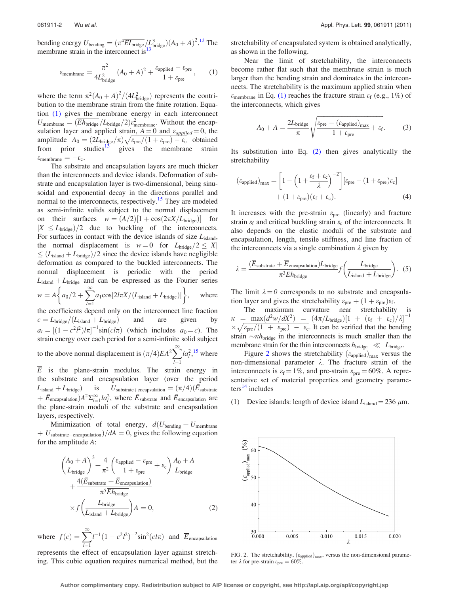bending energy  $U_{\text{bending}} = (\pi^4 \overline{EI_{\text{bridge}}}/\overline{L_{\text{bridge}}^3})(A_0 + A)^2$ .<sup>[13](#page-2-0)</sup> The membrane strain in the interconnect is<sup>1</sup>

$$
\varepsilon_{\text{membrane}} = \frac{\pi^2}{4L_{\text{bridge}}^2} (A_0 + A)^2 + \frac{\varepsilon_{\text{applied}} - \varepsilon_{\text{pre}}}{1 + \varepsilon_{\text{pre}}},\qquad(1)
$$

where the term  $\pi^2 (A_0 + A)^2 / (4L_{bridge}^2)$  represents the contribution to the membrane strain from the finite rotation. Equation [\(1\)](#page-2-0) gives the membrane energy in each interconnect  $U_{\text{membrane}} = (\overline{E}h_{\text{bridge}}/L_{\text{bridge}}/2)\varepsilon_{\text{membrane}}^2$ . Without the encapsulation layer and applied strain,  $A = 0$  and  $\varepsilon_{applied} = 0$ , the amplitude  $A_0 = (2L_{bridge}/\pi)\sqrt{\epsilon_{pre}/(1+\epsilon_{pre})-\epsilon_c}$  obtained from prior studies<sup>[13](#page-2-0)</sup> gives the membrane strain  $\varepsilon_{\text{membrane}} = -\varepsilon_{\text{c}}.$ 

The substrate and encapsulation layers are much thicker than the interconnects and device islands. Deformation of substrate and encapsulation layer is two-dimensional, being sinusoidal and exponential decay in the directions parallel and normal to the interconnects, respectively.<sup>[15](#page-2-0)</sup> They are modeled as semi-infinite solids subject to the normal displacement on their surfaces  $w = (A/2)[1 + \cos(2\pi X/L_{bridge})]$  for  $|X| \le L_{bridge})/2$  due to buckling of the interconnects. For surfaces in contact with the device islands of size  $L_{\text{island}}$ , the normal displacement is  $w = 0$  for  $L_{bridge}/2 \leq |X|$  $\leq$  (L<sub>island</sub> + L<sub>bridge</sub>)/2 since the device islands have negligible deformation as compared to the buckled interconnects. The normal displacement is periodic with the period  $L<sub>island</sub> + L<sub>bridge</sub>$  and can be expressed as the Fourier series  $w = A$  $\left\{a_0/2+\sum_{n=1}^\infty\right\}$  $l=1$  $a_1\mathrm{cos}[2l\pi X/(L_\mathrm{island}+L_\mathrm{bridge})]\bigg\}$ where the coefficients depend only on the interconnect line fraction  $c = L_{bridge}/(L_{island} + L_{bridge})$  and are given by  $a_l = [(1 - c^2 l^2)l\pi]^{-1} \sin(c l\pi)$  (which includes  $a_0 = c$ ). The strain energy over each period for a semi-infinite solid subject to the above normal displacement is  $(\pi/4)\overline{E}A^2\sum_{n=1}^{\infty}$  $l=1$  $la_l^2$ ,  $\frac{15}{15}$  $\frac{15}{15}$  $\frac{15}{15}$  where  $\overline{E}$  is the plane-strain modulus. The strain energy in the substrate and encapsulation layer (over the period  $L_{\text{island}} + L_{\text{bridge}})$  is  $U_{\text{substrate}+\text{encapsulation}} = (\pi/4)(\bar{E}_{\text{substrate}})$  $+ \bar{E}_{\text{encapsulation}} A^2 \Sigma_{l=1}^{\infty} l a_l^2$ , where  $\bar{E}_{\text{substrate}}$  and  $\bar{E}_{\text{encapsulation}}$  are the plane-strain moduli of the substrate and encapsulation layers, respectively.

Minimization of total energy,  $d(U_{\text{bending}} + U_{\text{membrane}})$  $+ U_{\text{substrate}+\text{encapsulation}}/dA = 0$ , gives the following equation for the amplitude A:

$$
\left(\frac{A_0 + A}{L_{bridge}}\right)^3 + \frac{4}{\pi^2} \left(\frac{\varepsilon_{\text{applied}} - \varepsilon_{\text{pre}}}{1 + \varepsilon_{\text{pre}}} + \varepsilon_{\text{c}}\right) \frac{A_0 + A}{L_{bridge}} + \frac{4(\bar{E}_{\text{substrate}} + \bar{E}_{\text{encapsulation}})}{\pi^5 \bar{E} h_{bridge}} \times f \left(\frac{L_{bridge}}{L_{\text{island}} + L_{bridge}}\right) A = 0,
$$
\n(2)

where  $f(c) = \sum_{n=0}^{\infty}$  $l=1$  $l^{-1}(1 - c^2 l^2)^{-2} \sin^2(c l \pi)$  and  $\overline{E}_{\text{encapsulation}}$ 

represents the effect of encapsulation layer against stretching. This cubic equation requires numerical method, but the stretchability of encapsulated system is obtained analytically, as shown in the following.

Near the limit of stretchability, the interconnects become rather flat such that the membrane strain is much larger than the bending strain and dominates in the interconnects. The stretchability is the maximum applied strain when  $\varepsilon_{\text{membrane}}$  in Eq. [\(1\)](#page-2-0) reaches the fracture strain  $\varepsilon_{\text{f}}$  (e.g., 1%) of the interconnects, which gives

$$
A_0 + A = \frac{2L_{\text{bridge}}}{\pi} \sqrt{\frac{\varepsilon_{\text{pre}} - (\varepsilon_{\text{applied}})_{\text{max}}}{1 + \varepsilon_{\text{pre}}} + \varepsilon_{\text{f}}}.
$$
 (3)

Its substitution into Eq. [\(2\)](#page-2-0) then gives analytically the stretchability

$$
\begin{aligned} \left(\varepsilon_{\text{applied}}\right)_{\text{max}} &= \left[1 - \left(1 + \frac{\varepsilon_{\text{f}} + \varepsilon_{\text{c}}}{\lambda}\right)^{-2}\right] \left[\varepsilon_{\text{pre}} - (1 + \varepsilon_{\text{pre}})\varepsilon_{\text{c}}\right] \\ &+ (1 + \varepsilon_{\text{pre}})\left(\varepsilon_{\text{f}} + \varepsilon_{\text{c}}\right). \end{aligned} \tag{4}
$$

It increases with the pre-strain  $\varepsilon_{pre}$  (linearly) and fracture strain  $\varepsilon_f$  and critical buckling strain  $\varepsilon_c$  of the interconnects. It also depends on the elastic moduli of the substrate and encapsulation, length, tensile stiffness, and line fraction of the interconnects via a single combination  $\lambda$  given by

$$
\lambda = \frac{(\overline{E}_{\text{substrate}} + \overline{E}_{\text{encapsulation}})L_{\text{bridge}}}{\pi^3 \overline{E} h_{\text{bridge}}}
$$
  $f\left(\frac{L_{\text{bridge}}}{L_{\text{island}} + L_{\text{bridge}}}\right).$  (5)

The limit  $\lambda = 0$  corresponds to no substrate and encapsulation layer and gives the stretchability  $\varepsilon_{pre} + (1 + \varepsilon_{pre})\varepsilon_f$ .

The maximum curvature near stretchability is  $\kappa$  = max $\left(d^2w/dX^2\right)$  =  $\left(4\pi/L_{bridge}\right)\left[1 + \left(\varepsilon_f + \varepsilon_c\right)/\lambda\right]^{-1}$  $\kappa = \frac{\text{max}(a - w/a\lambda)}{1 + \varepsilon_{\text{pre}}/(1 + \varepsilon_{\text{pre}})} = \frac{(\pi R/D_{\text{bridge}})[1 + (\varepsilon_{\text{f}} + \varepsilon_{\text{c}})/\varepsilon]}{1 + \varepsilon_{\text{pre}}}}$ strain  $\sim$ *kh*<sub>bridge</sub> in the interconnects is much smaller than the membrane strain for the thin interconnects  $h_{\text{bridge}} \ll L_{\text{bridge}}$ .

Figure 2 shows the stretchability  $(\varepsilon_{\text{applied}})_{\text{max}}$  versus the non-dimensional parameter  $\lambda$ . The fracture strain of the interconnects is  $\varepsilon_f = 1\%$ , and pre-strain  $\varepsilon_{pre} = 60\%$ . A representative set of material properties and geometry parame- $ters<sup>14</sup>$  $ters<sup>14</sup>$  $ters<sup>14</sup>$  includes

(1) Device islands: length of device island  $L_{\text{island}} = 236 \ \mu \text{m}$ .



FIG. 2. The stretchability,  $(\varepsilon_{\text{applied}})_{\text{max}}$ , versus the non-dimensional parameter  $\lambda$  for pre-strain  $\varepsilon_{pre} = 60\%$ .

**Author complimentary copy. Redistribution subject to AIP license or copyright, see http://apl.aip.org/apl/copyright.jsp**